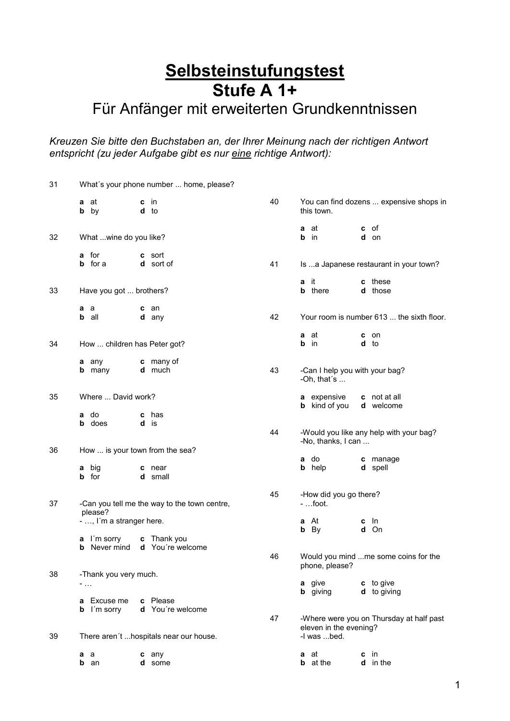# **Selbsteinstufungstest Stufe A 1+**

## Für Anfänger mit erweiterten Grundkenntnissen

*Kreuzen Sie bitte den Buchstaben an, der Ihrer Meinung nach der richtigen Antwort entspricht (zu jeder Aufgabe gibt es nur eine richtige Antwort):*

| 31 | What's your phone number  home, please?                 |                                   |    |                                                                                   |                                           |  |  |
|----|---------------------------------------------------------|-----------------------------------|----|-----------------------------------------------------------------------------------|-------------------------------------------|--|--|
|    | <b>a</b> at<br><b>b</b> by                              | in.<br>c<br>d to                  | 40 | this town.                                                                        | You can find dozens  expensive shops in   |  |  |
|    |                                                         |                                   |    | a at                                                                              | <b>c</b> of                               |  |  |
| 32 | What wine do you like?                                  |                                   |    | b<br>in                                                                           | d on                                      |  |  |
|    | a for<br><b>b</b> for a                                 | <b>c</b> sort<br><b>d</b> sort of | 41 |                                                                                   | Is  a Japanese restaurant in your town?   |  |  |
| 33 | Have you got  brothers?                                 |                                   |    | - it<br>a<br><b>b</b> there                                                       | c these<br>d those                        |  |  |
|    | a a<br>all<br>b                                         | c an<br>d any                     | 42 |                                                                                   | Your room is number 613  the sixth floor. |  |  |
| 34 | How  children has Peter got?                            |                                   |    | <b>a</b> at<br>b<br>- in                                                          | c on<br>d to                              |  |  |
|    | a any                                                   | c many of                         |    |                                                                                   |                                           |  |  |
|    | <b>b</b> many                                           | <b>d</b> much                     | 43 | -Can I help you with your bag?<br>-Oh, that's $\ldots$                            |                                           |  |  |
| 35 | Where  David work?                                      |                                   |    | <b>a</b> expensive<br><b>b</b> kind of you                                        | <b>c</b> not at all<br>d welcome          |  |  |
|    | a do<br><b>b</b> does                                   | has<br>c<br>d is                  |    |                                                                                   |                                           |  |  |
|    |                                                         |                                   | 44 | -Would you like any help with your bag?<br>-No, thanks, I can                     |                                           |  |  |
| 36 | How  is your town from the sea?                         |                                   |    | <b>a</b> do                                                                       | c manage                                  |  |  |
|    | big<br>a<br>for<br>b                                    | c near<br>d small                 |    | <b>b</b> help                                                                     | d spell                                   |  |  |
| 37 | -Can you tell me the way to the town centre,<br>please? |                                   | 45 | -How did you go there?<br>$-$ foot.                                               |                                           |  |  |
|    | - , I'm a stranger here.                                |                                   |    | <b>a</b> At<br><b>b</b> By                                                        | $c$ In<br>d On                            |  |  |
|    | I'm sorry<br>a                                          | Thank you<br>c                    |    |                                                                                   |                                           |  |  |
|    | Never mind<br>b                                         | d You're welcome                  | 46 | phone, please?                                                                    | Would you mind me some coins for the      |  |  |
| 38 | -Thank you very much.<br>$\sim 100$                     |                                   |    | <b>a</b> give                                                                     | c to give                                 |  |  |
|    |                                                         |                                   |    | <b>b</b> giving                                                                   | <b>d</b> to giving                        |  |  |
|    | a Excuse me<br>I´m sorry<br>b                           | c Please<br>d You're welcome      |    |                                                                                   |                                           |  |  |
| 39 | There aren't  hospitals near our house.                 |                                   | 47 | -Where were you on Thursday at half past<br>eleven in the evening?<br>-I was bed. |                                           |  |  |
|    |                                                         |                                   |    |                                                                                   |                                           |  |  |
|    | a a<br><b>b</b> an                                      | c any<br>d some                   |    | <b>a</b> at<br><b>b</b> at the                                                    | $c$ in<br>d in the                        |  |  |